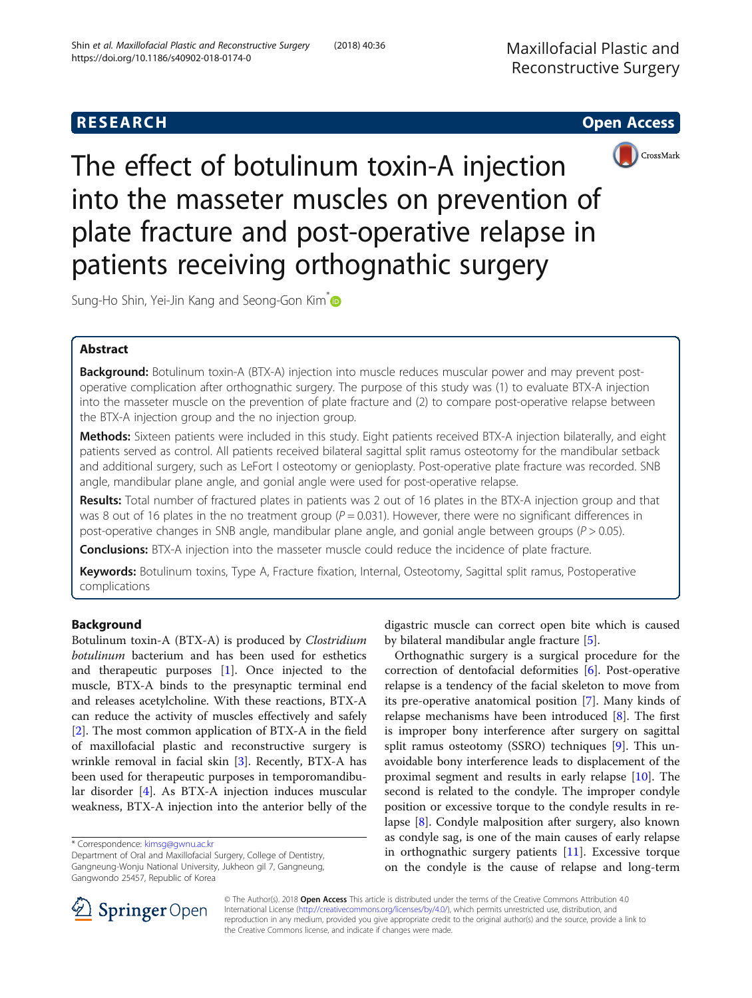



The effect of botulinum toxin-A injection into the masseter muscles on prevention of plate fracture and post-operative relapse in patients receiving orthognathic surgery

Sung-Ho Shin, Yei-Jin Kang and Seong-Gon Kim<sup>\*</sup>

# Abstract

Background: Botulinum toxin-A (BTX-A) injection into muscle reduces muscular power and may prevent postoperative complication after orthognathic surgery. The purpose of this study was (1) to evaluate BTX-A injection into the masseter muscle on the prevention of plate fracture and (2) to compare post-operative relapse between the BTX-A injection group and the no injection group.

Methods: Sixteen patients were included in this study. Eight patients received BTX-A injection bilaterally, and eight patients served as control. All patients received bilateral sagittal split ramus osteotomy for the mandibular setback and additional surgery, such as LeFort I osteotomy or genioplasty. Post-operative plate fracture was recorded. SNB angle, mandibular plane angle, and gonial angle were used for post-operative relapse.

Results: Total number of fractured plates in patients was 2 out of 16 plates in the BTX-A injection group and that was 8 out of 16 plates in the no treatment group ( $P = 0.031$ ). However, there were no significant differences in post-operative changes in SNB angle, mandibular plane angle, and gonial angle between groups ( $P > 0.05$ ).

**Conclusions:** BTX-A injection into the masseter muscle could reduce the incidence of plate fracture.

Keywords: Botulinum toxins, Type A, Fracture fixation, Internal, Osteotomy, Sagittal split ramus, Postoperative complications

# Background

Botulinum toxin-A (BTX-A) is produced by Clostridium botulinum bacterium and has been used for esthetics and therapeutic purposes [[1\]](#page-4-0). Once injected to the muscle, BTX-A binds to the presynaptic terminal end and releases acetylcholine. With these reactions, BTX-A can reduce the activity of muscles effectively and safely [[2\]](#page-4-0). The most common application of BTX-A in the field of maxillofacial plastic and reconstructive surgery is wrinkle removal in facial skin [[3](#page-4-0)]. Recently, BTX-A has been used for therapeutic purposes in temporomandibular disorder [\[4](#page-4-0)]. As BTX-A injection induces muscular weakness, BTX-A injection into the anterior belly of the

digastric muscle can correct open bite which is caused by bilateral mandibular angle fracture [\[5](#page-4-0)].

Orthognathic surgery is a surgical procedure for the correction of dentofacial deformities [[6\]](#page-4-0). Post-operative relapse is a tendency of the facial skeleton to move from its pre-operative anatomical position [\[7](#page-4-0)]. Many kinds of relapse mechanisms have been introduced  $[8]$  $[8]$ . The first is improper bony interference after surgery on sagittal split ramus osteotomy (SSRO) techniques [[9\]](#page-4-0). This unavoidable bony interference leads to displacement of the proximal segment and results in early relapse [\[10](#page-4-0)]. The second is related to the condyle. The improper condyle position or excessive torque to the condyle results in relapse [[8\]](#page-4-0). Condyle malposition after surgery, also known as condyle sag, is one of the main causes of early relapse in orthognathic surgery patients [\[11](#page-4-0)]. Excessive torque on the condyle is the cause of relapse and long-term



© The Author(s). 2018 Open Access This article is distributed under the terms of the Creative Commons Attribution 4.0 International License ([http://creativecommons.org/licenses/by/4.0/\)](http://creativecommons.org/licenses/by/4.0/), which permits unrestricted use, distribution, and reproduction in any medium, provided you give appropriate credit to the original author(s) and the source, provide a link to the Creative Commons license, and indicate if changes were made.

<sup>\*</sup> Correspondence: [kimsg@gwnu.ac.kr](mailto:kimsg@gwnu.ac.kr)

Department of Oral and Maxillofacial Surgery, College of Dentistry, Gangneung-Wonju National University, Jukheon gil 7, Gangneung, Gangwondo 25457, Republic of Korea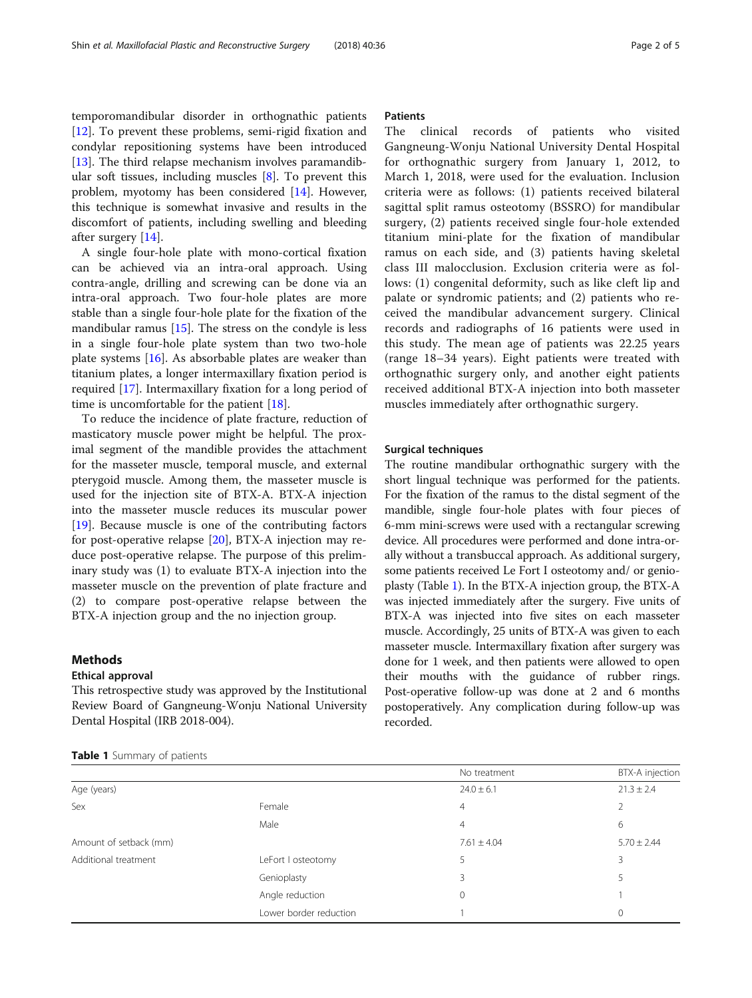<span id="page-1-0"></span>temporomandibular disorder in orthognathic patients [[12\]](#page-4-0). To prevent these problems, semi-rigid fixation and condylar repositioning systems have been introduced [[13\]](#page-4-0). The third relapse mechanism involves paramandibular soft tissues, including muscles [[8\]](#page-4-0). To prevent this problem, myotomy has been considered [\[14\]](#page-4-0). However, this technique is somewhat invasive and results in the discomfort of patients, including swelling and bleeding after surgery [\[14](#page-4-0)].

A single four-hole plate with mono-cortical fixation can be achieved via an intra-oral approach. Using contra-angle, drilling and screwing can be done via an intra-oral approach. Two four-hole plates are more stable than a single four-hole plate for the fixation of the mandibular ramus  $[15]$  $[15]$ . The stress on the condyle is less in a single four-hole plate system than two two-hole plate systems [[16\]](#page-4-0). As absorbable plates are weaker than titanium plates, a longer intermaxillary fixation period is required [\[17](#page-4-0)]. Intermaxillary fixation for a long period of time is uncomfortable for the patient [[18\]](#page-4-0).

To reduce the incidence of plate fracture, reduction of masticatory muscle power might be helpful. The proximal segment of the mandible provides the attachment for the masseter muscle, temporal muscle, and external pterygoid muscle. Among them, the masseter muscle is used for the injection site of BTX-A. BTX-A injection into the masseter muscle reduces its muscular power [[19\]](#page-4-0). Because muscle is one of the contributing factors for post-operative relapse [\[20](#page-4-0)], BTX-A injection may reduce post-operative relapse. The purpose of this preliminary study was (1) to evaluate BTX-A injection into the masseter muscle on the prevention of plate fracture and (2) to compare post-operative relapse between the BTX-A injection group and the no injection group.

# Methods

# Ethical approval

This retrospective study was approved by the Institutional Review Board of Gangneung-Wonju National University Dental Hospital (IRB 2018-004).

# **Patients**

The clinical records of patients who visited Gangneung-Wonju National University Dental Hospital for orthognathic surgery from January 1, 2012, to March 1, 2018, were used for the evaluation. Inclusion criteria were as follows: (1) patients received bilateral sagittal split ramus osteotomy (BSSRO) for mandibular surgery, (2) patients received single four-hole extended titanium mini-plate for the fixation of mandibular ramus on each side, and (3) patients having skeletal class III malocclusion. Exclusion criteria were as follows: (1) congenital deformity, such as like cleft lip and palate or syndromic patients; and (2) patients who received the mandibular advancement surgery. Clinical records and radiographs of 16 patients were used in this study. The mean age of patients was 22.25 years (range 18–34 years). Eight patients were treated with orthognathic surgery only, and another eight patients received additional BTX-A injection into both masseter muscles immediately after orthognathic surgery.

### Surgical techniques

The routine mandibular orthognathic surgery with the short lingual technique was performed for the patients. For the fixation of the ramus to the distal segment of the mandible, single four-hole plates with four pieces of 6-mm mini-screws were used with a rectangular screwing device. All procedures were performed and done intra-orally without a transbuccal approach. As additional surgery, some patients received Le Fort I osteotomy and/ or genioplasty (Table 1). In the BTX-A injection group, the BTX-A was injected immediately after the surgery. Five units of BTX-A was injected into five sites on each masseter muscle. Accordingly, 25 units of BTX-A was given to each masseter muscle. Intermaxillary fixation after surgery was done for 1 week, and then patients were allowed to open their mouths with the guidance of rubber rings. Post-operative follow-up was done at 2 and 6 months postoperatively. Any complication during follow-up was recorded.

|                        |                        | No treatment    | BTX-A injection |
|------------------------|------------------------|-----------------|-----------------|
| Age (years)            |                        | $24.0 \pm 6.1$  | $21.3 \pm 2.4$  |
| Sex                    | Female                 | $\overline{4}$  |                 |
|                        | Male                   | $\overline{4}$  | 6               |
| Amount of setback (mm) |                        | $7.61 \pm 4.04$ | $5.70 \pm 2.44$ |
| Additional treatment   | LeFort I osteotomy     |                 | 3               |
|                        | Genioplasty            | 3               | 5               |
|                        | Angle reduction        | 0               |                 |
|                        | Lower border reduction |                 | $\Omega$        |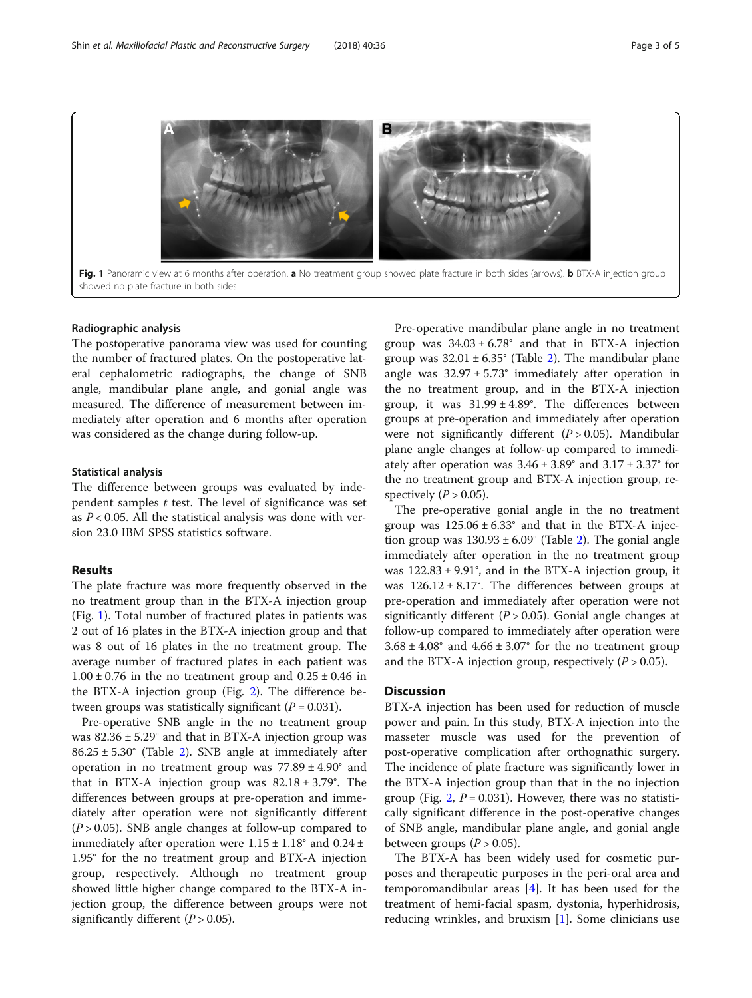

#### Radiographic analysis

The postoperative panorama view was used for counting the number of fractured plates. On the postoperative lateral cephalometric radiographs, the change of SNB angle, mandibular plane angle, and gonial angle was measured. The difference of measurement between immediately after operation and 6 months after operation was considered as the change during follow-up.

## Statistical analysis

The difference between groups was evaluated by independent samples  $t$  test. The level of significance was set as  $P < 0.05$ . All the statistical analysis was done with version 23.0 IBM SPSS statistics software.

# Results

The plate fracture was more frequently observed in the no treatment group than in the BTX-A injection group (Fig. 1). Total number of fractured plates in patients was 2 out of 16 plates in the BTX-A injection group and that was 8 out of 16 plates in the no treatment group. The average number of fractured plates in each patient was  $1.00 \pm 0.76$  in the no treatment group and  $0.25 \pm 0.46$  in the BTX-A injection group (Fig. [2\)](#page-3-0). The difference between groups was statistically significant  $(P = 0.031)$ .

Pre-operative SNB angle in the no treatment group was  $82.36 \pm 5.29$ ° and that in BTX-A injection group was 86.25 ± 5.30° (Table [2\)](#page-3-0). SNB angle at immediately after operation in no treatment group was  $77.89 \pm 4.90^{\circ}$  and that in BTX-A injection group was  $82.18 \pm 3.79^{\circ}$ . The differences between groups at pre-operation and immediately after operation were not significantly different  $(P > 0.05)$ . SNB angle changes at follow-up compared to immediately after operation were  $1.15 \pm 1.18^{\circ}$  and  $0.24 \pm$ 1.95° for the no treatment group and BTX-A injection group, respectively. Although no treatment group showed little higher change compared to the BTX-A injection group, the difference between groups were not significantly different  $(P > 0.05)$ .

Pre-operative mandibular plane angle in no treatment group was  $34.03 \pm 6.78$ ° and that in BTX-A injection group was  $32.01 \pm 6.35^{\circ}$  $32.01 \pm 6.35^{\circ}$  $32.01 \pm 6.35^{\circ}$  (Table 2). The mandibular plane angle was  $32.97 \pm 5.73$ ° immediately after operation in the no treatment group, and in the BTX-A injection group, it was  $31.99 \pm 4.89^{\circ}$ . The differences between groups at pre-operation and immediately after operation were not significantly different  $(P > 0.05)$ . Mandibular plane angle changes at follow-up compared to immediately after operation was  $3.46 \pm 3.89$ ° and  $3.17 \pm 3.37$ ° for the no treatment group and BTX-A injection group, respectively  $(P > 0.05)$ .

The pre-operative gonial angle in the no treatment group was  $125.06 \pm 6.33$ ° and that in the BTX-A injection group was  $130.93 \pm 6.09^{\circ}$  (Table [2\)](#page-3-0). The gonial angle immediately after operation in the no treatment group was 122.83 ± 9.91°, and in the BTX-A injection group, it was  $126.12 \pm 8.17^{\circ}$ . The differences between groups at pre-operation and immediately after operation were not significantly different ( $P > 0.05$ ). Gonial angle changes at follow-up compared to immediately after operation were  $3.68 \pm 4.08$ ° and  $4.66 \pm 3.07$ ° for the no treatment group and the BTX-A injection group, respectively  $(P > 0.05)$ .

# **Discussion**

BTX-A injection has been used for reduction of muscle power and pain. In this study, BTX-A injection into the masseter muscle was used for the prevention of post-operative complication after orthognathic surgery. The incidence of plate fracture was significantly lower in the BTX-A injection group than that in the no injection group (Fig. [2](#page-3-0),  $P = 0.031$ ). However, there was no statistically significant difference in the post-operative changes of SNB angle, mandibular plane angle, and gonial angle between groups  $(P > 0.05)$ .

The BTX-A has been widely used for cosmetic purposes and therapeutic purposes in the peri-oral area and temporomandibular areas [\[4](#page-4-0)]. It has been used for the treatment of hemi-facial spasm, dystonia, hyperhidrosis, reducing wrinkles, and bruxism [\[1\]](#page-4-0). Some clinicians use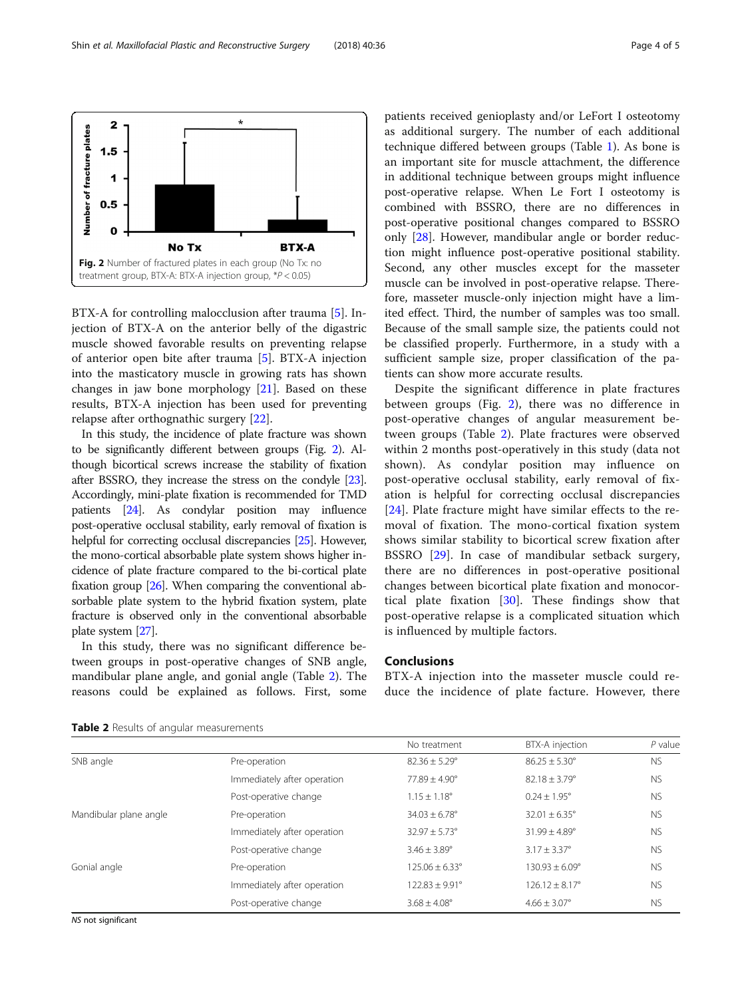<span id="page-3-0"></span>

BTX-A for controlling malocclusion after trauma [\[5\]](#page-4-0). Injection of BTX-A on the anterior belly of the digastric muscle showed favorable results on preventing relapse of anterior open bite after trauma [\[5](#page-4-0)]. BTX-A injection into the masticatory muscle in growing rats has shown changes in jaw bone morphology [\[21](#page-4-0)]. Based on these results, BTX-A injection has been used for preventing relapse after orthognathic surgery [[22\]](#page-4-0).

In this study, the incidence of plate fracture was shown to be significantly different between groups (Fig. 2). Although bicortical screws increase the stability of fixation after BSSRO, they increase the stress on the condyle [\[23](#page-4-0)]. Accordingly, mini-plate fixation is recommended for TMD patients [\[24](#page-4-0)]. As condylar position may influence post-operative occlusal stability, early removal of fixation is helpful for correcting occlusal discrepancies [\[25\]](#page-4-0). However, the mono-cortical absorbable plate system shows higher incidence of plate fracture compared to the bi-cortical plate fixation group [[26\]](#page-4-0). When comparing the conventional absorbable plate system to the hybrid fixation system, plate fracture is observed only in the conventional absorbable plate system [\[27\]](#page-4-0).

In this study, there was no significant difference between groups in post-operative changes of SNB angle, mandibular plane angle, and gonial angle (Table 2). The reasons could be explained as follows. First, some patients received genioplasty and/or LeFort I osteotomy as additional surgery. The number of each additional technique differed between groups (Table [1\)](#page-1-0). As bone is an important site for muscle attachment, the difference in additional technique between groups might influence post-operative relapse. When Le Fort I osteotomy is combined with BSSRO, there are no differences in post-operative positional changes compared to BSSRO only [[28](#page-4-0)]. However, mandibular angle or border reduction might influence post-operative positional stability. Second, any other muscles except for the masseter muscle can be involved in post-operative relapse. Therefore, masseter muscle-only injection might have a limited effect. Third, the number of samples was too small. Because of the small sample size, the patients could not be classified properly. Furthermore, in a study with a sufficient sample size, proper classification of the patients can show more accurate results.

Despite the significant difference in plate fractures between groups (Fig. 2), there was no difference in post-operative changes of angular measurement between groups (Table 2). Plate fractures were observed within 2 months post-operatively in this study (data not shown). As condylar position may influence on post-operative occlusal stability, early removal of fixation is helpful for correcting occlusal discrepancies [[24](#page-4-0)]. Plate fracture might have similar effects to the removal of fixation. The mono-cortical fixation system shows similar stability to bicortical screw fixation after BSSRO [[29\]](#page-4-0). In case of mandibular setback surgery, there are no differences in post-operative positional changes between bicortical plate fixation and monocortical plate fixation [[30\]](#page-4-0). These findings show that post-operative relapse is a complicated situation which is influenced by multiple factors.

# Conclusions

BTX-A injection into the masseter muscle could reduce the incidence of plate facture. However, there

Table 2 Results of angular measurements

|                        |                             | No treatment             | BTX-A injection          | $P$ value |
|------------------------|-----------------------------|--------------------------|--------------------------|-----------|
| SNB angle              | Pre-operation               | $82.36 \pm 5.29^{\circ}$ | $86.25 + 5.30^{\circ}$   | <b>NS</b> |
|                        | Immediately after operation | $77.89 + 4.90^{\circ}$   | $82.18 + 3.79^{\circ}$   | <b>NS</b> |
|                        | Post-operative change       | $1.15 \pm 1.18^{\circ}$  | $0.24 \pm 1.95^{\circ}$  | <b>NS</b> |
| Mandibular plane angle | Pre-operation               | $34.03 \pm 6.78$ °       | $32.01 \pm 6.35^{\circ}$ | <b>NS</b> |
|                        | Immediately after operation | $32.97 \pm 5.73^{\circ}$ | $31.99 + 4.89^{\circ}$   | <b>NS</b> |
|                        | Post-operative change       | $3.46 \pm 3.89^{\circ}$  | $3.17 + 3.37^{\circ}$    | <b>NS</b> |
| Gonial angle           | Pre-operation               | $125.06 + 6.33^{\circ}$  | $130.93 + 6.09^{\circ}$  | <b>NS</b> |
|                        | Immediately after operation | $122.83 + 9.91^{\circ}$  | $126.12 + 8.17^{\circ}$  | <b>NS</b> |
|                        | Post-operative change       | $3.68 \pm 4.08$ °        | $4.66 \pm 3.07$ °        | <b>NS</b> |

NS not significant